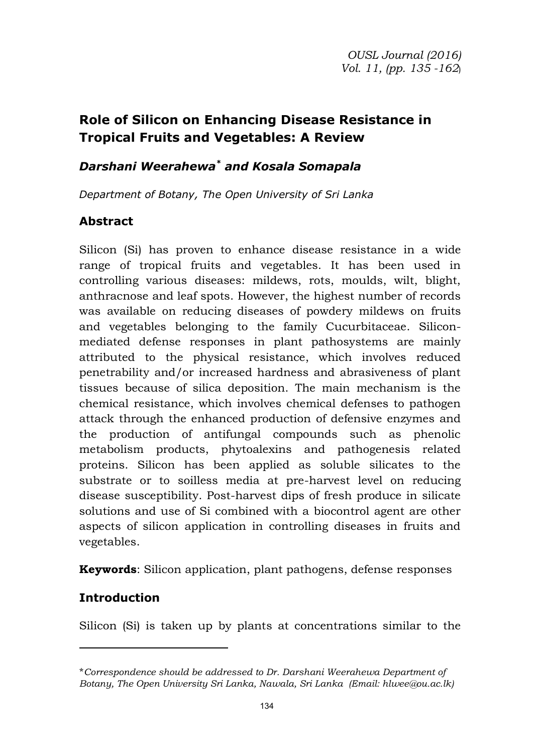# **Role of Silicon on Enhancing Disease Resistance in Tropical Fruits and Vegetables: A Review**

## *Darshani Weerahewa\* and Kosala Somapala*

*Department of Botany, The Open University of Sri Lanka* 

## **Abstract**

Silicon (Si) has proven to enhance disease resistance in a wide range of tropical fruits and vegetables. It has been used in controlling various diseases: mildews, rots, moulds, wilt, blight, anthracnose and leaf spots. However, the highest number of records was available on reducing diseases of powdery mildews on fruits and vegetables belonging to the family Cucurbitaceae. Siliconmediated defense responses in plant pathosystems are mainly attributed to the physical resistance, which involves reduced penetrability and/or increased hardness and abrasiveness of plant tissues because of silica deposition. The main mechanism is the chemical resistance, which involves chemical defenses to pathogen attack through the enhanced production of defensive enzymes and the production of antifungal compounds such as phenolic metabolism products, phytoalexins and pathogenesis related proteins. Silicon has been applied as soluble silicates to the substrate or to soilless media at pre-harvest level on reducing disease susceptibility. Post-harvest dips of fresh produce in silicate solutions and use of Si combined with a biocontrol agent are other aspects of silicon application in controlling diseases in fruits and vegetables.

**Keywords**: Silicon application, plant pathogens, defense responses

## **Introduction**

Silicon (Si) is taken up by plants at concentrations similar to the

<sup>\*</sup>*Correspondence should be addressed to Dr. Darshani Weerahewa Department of Botany, The Open University Sri Lanka, Nawala, Sri Lanka (Email: hlwee@ou.ac.lk)*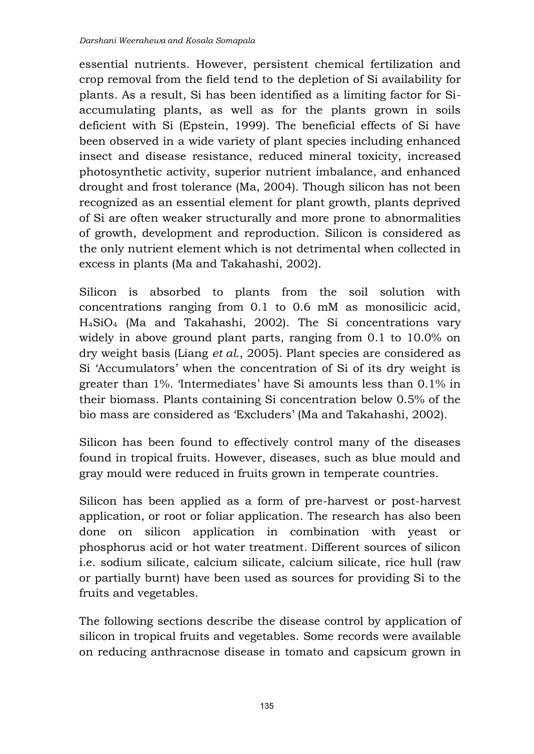essential nutrients. However, persistent chemical fertilization and crop removal from the field tend to the depletion of Si availability for plants. As a result, Si has been identified as a limiting factor for Siaccumulating plants, as well as for the plants grown in soils deficient with Si (Epstein, 1999). The beneficial effects of Si have been observed in a wide variety of plant species including enhanced insect and disease resistance, reduced mineral toxicity, increased photosynthetic activity, superior nutrient imbalance, and enhanced drought and frost tolerance (Ma, 2004). Though silicon has not been recognized as an essential element for plant growth, plants deprived of Si are often weaker structurally and more prone to abnormalities of growth, development and reproduction. Silicon is considered as the only nutrient element which is not detrimental when collected in excess in plants (Ma and Takahashi, 2002).

Silicon is absorbed to plants from the soil solution with concentrations ranging from 0.1 to 0.6 mM as monosilicic acid, H4SiO4 (Ma and Takahashi, 2002). The Si concentrations vary widely in above ground plant parts, ranging from 0.1 to 10.0% on dry weight basis (Liang *et al*., 2005). Plant species are considered as Si 'Accumulators' when the concentration of Si of its dry weight is greater than 1%. 'Intermediates' have Si amounts less than 0.1% in their biomass. Plants containing Si concentration below 0.5% of the bio mass are considered as 'Excluders' (Ma and Takahashi, 2002).

Silicon has been found to effectively control many of the diseases found in tropical fruits. However, diseases, such as blue mould and gray mould were reduced in fruits grown in temperate countries.

Silicon has been applied as a form of pre-harvest or post-harvest application, or root or foliar application. The research has also been done on silicon application in combination with yeast or phosphorus acid or hot water treatment. Different sources of silicon i.e. sodium silicate, calcium silicate, calcium silicate, rice hull (raw or partially burnt) have been used as sources for providing Si to the fruits and vegetables.

The following sections describe the disease control by application of silicon in tropical fruits and vegetables. Some records were available on reducing anthracnose disease in tomato and capsicum grown in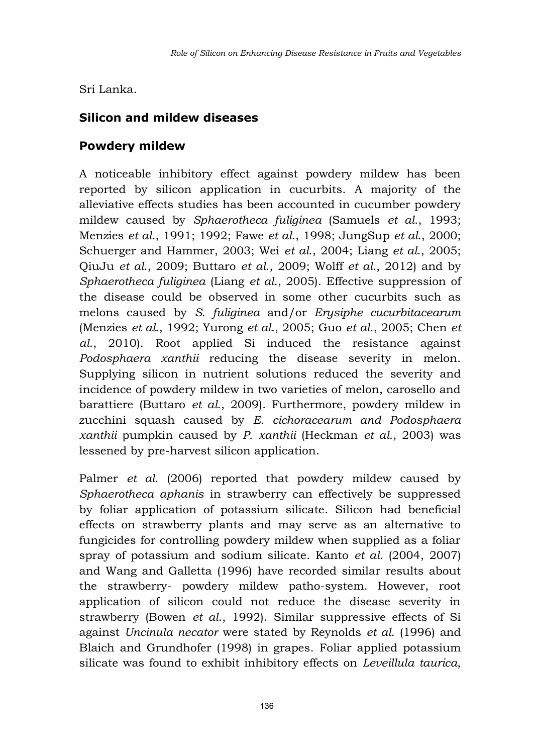Sri Lanka.

## **Silicon and mildew diseases**

### **Powdery mildew**

A noticeable inhibitory effect against powdery mildew has been reported by silicon application in cucurbits. A majority of the alleviative effects studies has been accounted in cucumber powdery mildew caused by *Sphaerotheca fuliginea* (Samuels *et al*., 1993; Menzies *et al*., 1991; 1992; Fawe *et al*., 1998; JungSup *et al*., 2000; Schuerger and Hammer, 2003; Wei *et al*., 2004; Liang *et al*., 2005; QiuJu *et al*., 2009; Buttaro *et al*., 2009; Wolff *et al*., 2012) and by *Sphaerotheca fuliginea* (Liang *et al*., 2005). Effective suppression of the disease could be observed in some other cucurbits such as melons caused by *S. fuliginea* and/or *Erysiphe cucurbitacearum* (Menzies *et al*., 1992; Yurong *et al*., 2005; Guo *et al*., 2005; Chen *et al*., 2010). Root applied Si induced the resistance against *Podosphaera xanthii* reducing the disease severity in melon. Supplying silicon in nutrient solutions reduced the severity and incidence of powdery mildew in two varieties of melon, carosello and barattiere (Buttaro *et al*., 2009). Furthermore, powdery mildew in zucchini squash caused by *E. cichoracearum and Podosphaera xanthii* pumpkin caused by *P. xanthii* (Heckman *et al*., 2003) was lessened by pre-harvest silicon application.

Palmer *et al*. (2006) reported that powdery mildew caused by *Sphaerotheca aphanis* in strawberry can effectively be suppressed by foliar application of potassium silicate. Silicon had beneficial effects on strawberry plants and may serve as an alternative to fungicides for controlling powdery mildew when supplied as a foliar spray of potassium and sodium silicate. Kanto *et al*. (2004, 2007) and Wang and Galletta (1996) have recorded similar results about the strawberry- powdery mildew patho-system. However, root application of silicon could not reduce the disease severity in strawberry (Bowen *et al*., 1992). Similar suppressive effects of Si against *Uncinula necator* were stated by Reynolds *et al*. (1996) and Blaich and Grundhofer (1998) in grapes. Foliar applied potassium silicate was found to exhibit inhibitory effects on *Leveillula taurica*,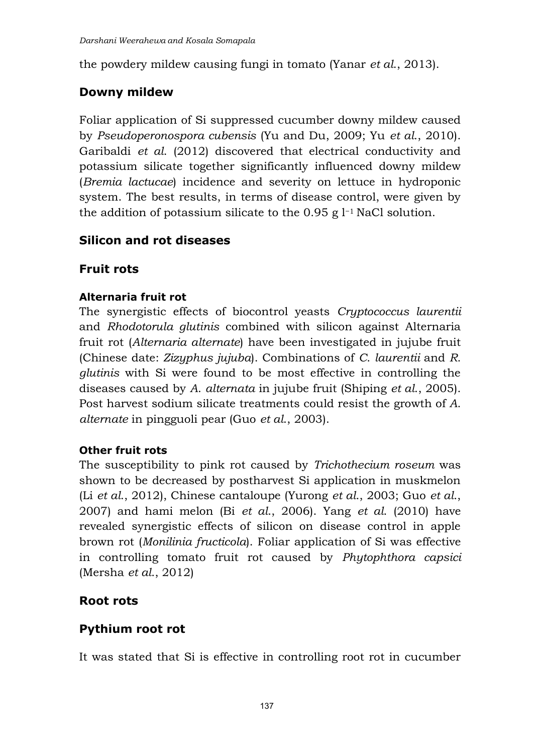the powdery mildew causing fungi in tomato (Yanar *et al*., 2013).

### **Downy mildew**

Foliar application of Si suppressed cucumber downy mildew caused by *Pseudoperonospora cubensis* (Yu and Du, 2009; Yu *et al*., 2010). Garibaldi *et al*. (2012) discovered that electrical conductivity and potassium silicate together significantly influenced downy mildew (*Bremia lactucae*) incidence and severity on lettuce in hydroponic system. The best results, in terms of disease control, were given by the addition of potassium silicate to the 0.95 g l−1 NaCl solution.

### **Silicon and rot diseases**

#### **Fruit rots**

#### **Alternaria fruit rot**

The synergistic effects of biocontrol yeasts *Cryptococcus laurentii* and *Rhodotorula glutinis* combined with silicon against Alternaria fruit rot (*Alternaria alternate*) have been investigated in jujube fruit (Chinese date: *Zizyphus jujuba*). Combinations of *C*. *laurentii* and *R*. *glutinis* with Si were found to be most effective in controlling the diseases caused by *A*. *alternata* in jujube fruit (Shiping *et al*., 2005). Post harvest sodium silicate treatments could resist the growth of *A*. *alternate* in pingguoli pear (Guo *et al*., 2003).

#### **Other fruit rots**

The susceptibility to pink rot caused by *Trichothecium roseum* was shown to be decreased by postharvest Si application in muskmelon (Li *et al*., 2012), Chinese cantaloupe (Yurong *et al*., 2003; Guo *et al*., 2007) and hami melon (Bi *et al*., 2006). Yang *et al*. (2010) have revealed synergistic effects of silicon on disease control in apple brown rot (*Monilinia fructicola*). Foliar application of Si was effective in controlling tomato fruit rot caused by *Phytophthora capsici* (Mersha *et al*., 2012)

#### **Root rots**

### **Pythium root rot**

It was stated that Si is effective in controlling root rot in cucumber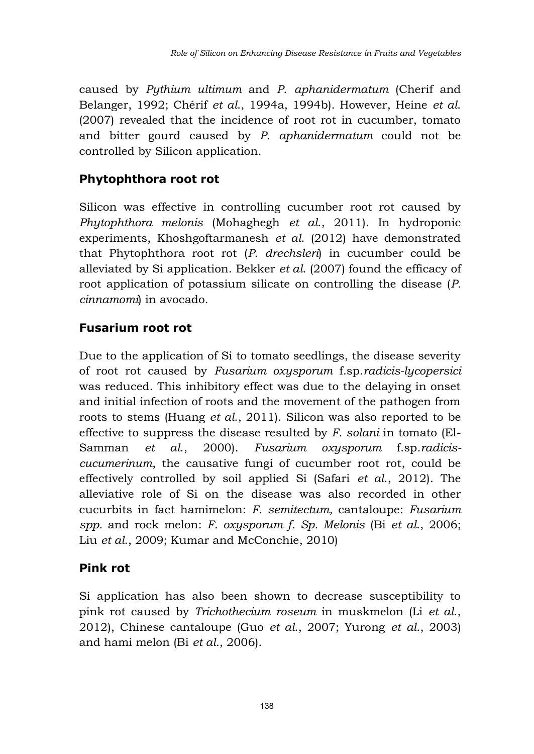caused by *Pythium ultimum* and *P*. *aphanidermatum* (Cherif and Belanger, 1992; Chérif *et al*., 1994a, 1994b). However, Heine *et al*. (2007) revealed that the incidence of root rot in cucumber, tomato and bitter gourd caused by *P. aphanidermatum* could not be controlled by Silicon application*.*

# **Phytophthora root rot**

Silicon was effective in controlling cucumber root rot caused by *Phytophthora melonis* (Mohaghegh *et al*., 2011). In hydroponic experiments, Khoshgoftarmanesh *et al*. (2012) have demonstrated that Phytophthora root rot (*P. drechsleri*) in cucumber could be alleviated by Si application. Bekker *et al*. (2007) found the efficacy of root application of potassium silicate on controlling the disease (*P. cinnamomi*) in avocado.

## **Fusarium root rot**

Due to the application of Si to tomato seedlings, the disease severity of root rot caused by *Fusarium oxysporum* f.sp.*radicis-lycopersici* was reduced. This inhibitory effect was due to the delaying in onset and initial infection of roots and the movement of the pathogen from roots to stems (Huang *et al*., 2011). Silicon was also reported to be effective to suppress the disease resulted by *F. solani* in tomato (El-Samman *et al*., 2000). *Fusarium oxysporum* f.sp*.radiciscucumerinum*, the causative fungi of cucumber root rot, could be effectively controlled by soil applied Si (Safari *et al*., 2012). The alleviative role of Si on the disease was also recorded in other cucurbits in fact hamimelon: *F. semitectum,* cantaloupe: *Fusarium spp.* and rock melon: *F. oxysporum f. Sp. Melonis* (Bi *et al*., 2006; Liu *et al*., 2009; Kumar and McConchie, 2010)

### **Pink rot**

Si application has also been shown to decrease susceptibility to pink rot caused by *Trichothecium roseum* in muskmelon (Li *et al*., 2012), Chinese cantaloupe (Guo *et al*., 2007; Yurong *et al*., 2003) and hami melon (Bi *et al*., 2006).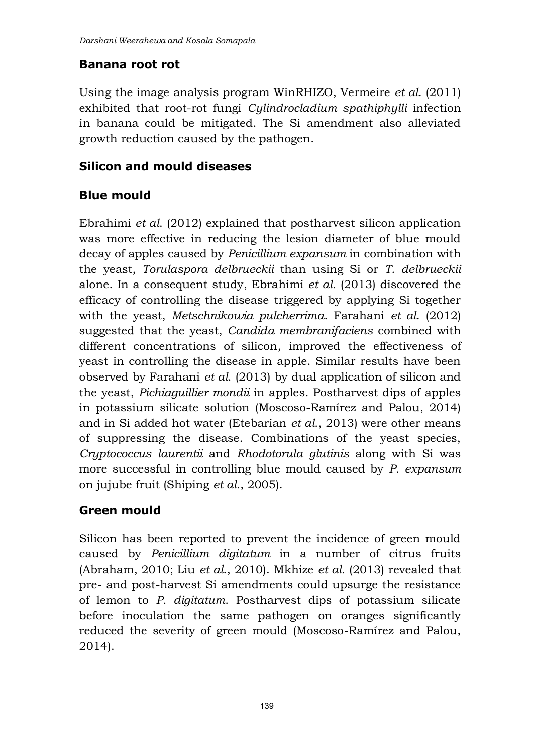### **Banana root rot**

Using the image analysis program WinRHIZO, Vermeire *et al*. (2011) exhibited that root-rot fungi *Cylindrocladium spathiphylli* infection in banana could be mitigated. The Si amendment also alleviated growth reduction caused by the pathogen.

## **Silicon and mould diseases**

## **Blue mould**

Ebrahimi *et al*. (2012) explained that postharvest silicon application was more effective in reducing the lesion diameter of blue mould decay of apples caused by *Penicillium expansum* in combination with the yeast, *Torulaspora delbrueckii* than using Si or *T. delbrueckii* alone. In a consequent study, Ebrahimi *et al*. (2013) discovered the efficacy of controlling the disease triggered by applying Si together with the yeast, *Metschnikowia pulcherrima*. Farahani *et al*. (2012) suggested that the yeast, *Candida membranifaciens* combined with different concentrations of silicon, improved the effectiveness of yeast in controlling the disease in apple. Similar results have been observed by Farahani *et al*. (2013) by dual application of silicon and the yeast, *Pichiaguillier mondii* in apples. Postharvest dips of apples in potassium silicate solution (Moscoso-Ramírez and Palou, 2014) and in Si added hot water (Etebarian *et al*., 2013) were other means of suppressing the disease. Combinations of the yeast species, *Cryptococcus laurentii* and *Rhodotorula glutinis* along with Si was more successful in controlling blue mould caused by *P*. *expansum* on jujube fruit (Shiping *et al*., 2005).

## **Green mould**

Silicon has been reported to prevent the incidence of green mould caused by *Penicillium digitatum* in a number of citrus fruits (Abraham, 2010; Liu *et al*., 2010). Mkhize *et al*. (2013) revealed that pre- and post-harvest Si amendments could upsurge the resistance of lemon to *P. digitatum*. Postharvest dips of potassium silicate before inoculation the same pathogen on oranges significantly reduced the severity of green mould (Moscoso-Ramírez and Palou, 2014).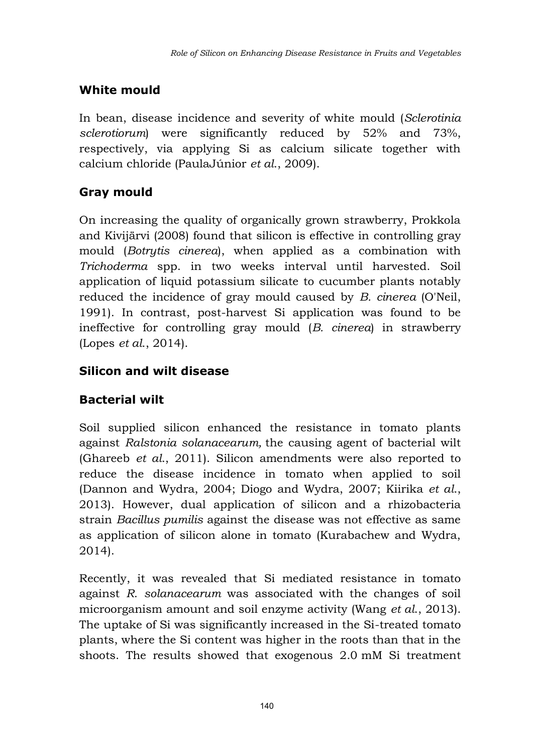# **White mould**

In bean, disease incidence and severity of white mould (*Sclerotinia sclerotiorum*) were significantly reduced by 52% and 73%, respectively, via applying Si as calcium silicate together with calcium chloride (PaulaJúnior *et al*., 2009).

# **Gray mould**

On increasing the quality of organically grown strawberry, Prokkola and Kivijärvi (2008) found that silicon is effective in controlling gray mould (*Botrytis cinerea*), when applied as a combination with *Trichoderma* spp. in two weeks interval until harvested. Soil application of liquid potassium silicate to cucumber plants notably reduced the incidence of gray mould caused by *B. cinerea* (O'Neil, 1991). In contrast, post-harvest Si application was found to be ineffective for controlling gray mould (*B. cinerea*) in strawberry (Lopes *et al*., 2014).

# **Silicon and wilt disease**

## **Bacterial wilt**

Soil supplied silicon enhanced the resistance in tomato plants against *Ralstonia solanacearum,* the causing agent of bacterial wilt (Ghareeb *et al*., 2011). Silicon amendments were also reported to reduce the disease incidence in tomato when applied to soil (Dannon and Wydra, 2004; Diogo and Wydra, 2007; Kiirika *et al*., 2013). However, dual application of silicon and a rhizobacteria strain *Bacillus pumilis* against the disease was not effective as same as application of silicon alone in tomato (Kurabachew and Wydra, 2014).

Recently, it was revealed that Si mediated resistance in tomato against *R*. *solanacearum* was associated with the changes of soil microorganism amount and soil enzyme activity (Wang *et al*., 2013). The uptake of Si was significantly increased in the Si-treated tomato plants, where the Si content was higher in the roots than that in the shoots. The results showed that exogenous 2.0 mM Si treatment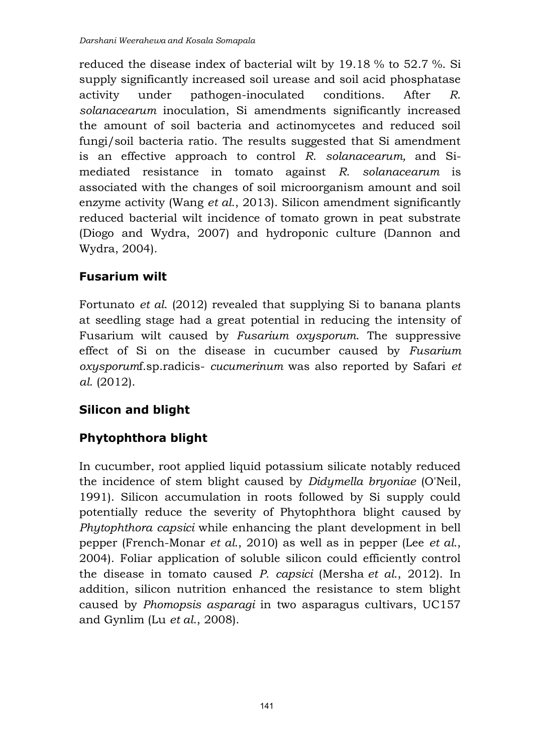reduced the disease index of bacterial wilt by 19.18 % to 52.7 %. Si supply significantly increased soil urease and soil acid phosphatase activity under pathogen-inoculated conditions. After *R*. *solanacearum* inoculation, Si amendments significantly increased the amount of soil bacteria and actinomycetes and reduced soil fungi/soil bacteria ratio. The results suggested that Si amendment is an effective approach to control *R*. *solanacearum,* and Simediated resistance in tomato against *R*. *solanacearum* is associated with the changes of soil microorganism amount and soil enzyme activity (Wang *et al*., 2013). Silicon amendment significantly reduced bacterial wilt incidence of tomato grown in peat substrate (Diogo and Wydra, 2007) and hydroponic culture (Dannon and Wydra, 2004).

## **Fusarium wilt**

Fortunato *et al*. (2012) revealed that supplying Si to banana plants at seedling stage had a great potential in reducing the intensity of Fusarium wilt caused by *Fusarium oxysporum*. The suppressive effect of Si on the disease in cucumber caused by *Fusarium oxysporum*f.sp.radicis- *cucumerinum* was also reported by Safari *et al*. (2012).

# **Silicon and blight**

# **Phytophthora blight**

In cucumber, root applied liquid potassium silicate notably reduced the incidence of stem blight caused by *Didymella bryoniae* (O'Neil, 1991). Silicon accumulation in roots followed by Si supply could potentially reduce the severity of Phytophthora blight caused by *Phytophthora capsici* while enhancing the plant development in bell pepper (French-Monar *et al*., 2010) as well as in pepper (Lee *et al*., 2004). Foliar application of soluble silicon could efficiently control the disease in tomato caused *P. capsici* (Mersha *et al*., 2012). In addition, silicon nutrition enhanced the resistance to stem blight caused by *Phomopsis asparagi* in two asparagus cultivars, UC157 and Gynlim (Lu *et al*., 2008).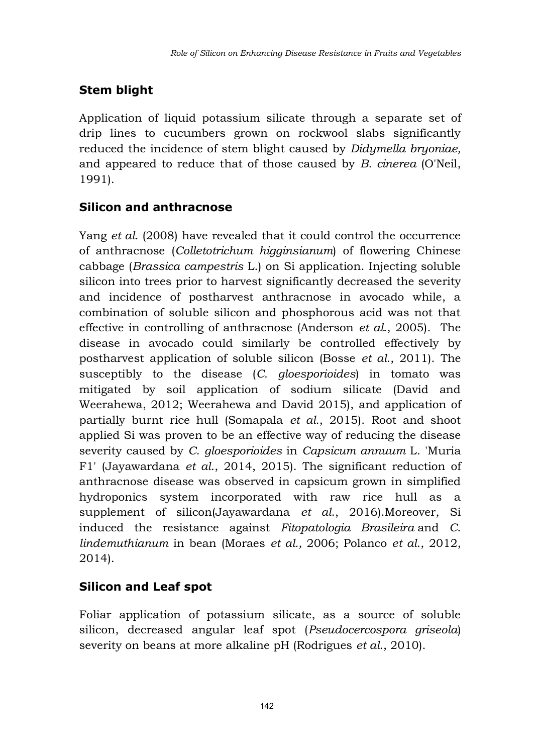# **Stem blight**

Application of liquid potassium silicate through a separate set of drip lines to cucumbers grown on rockwool slabs significantly reduced the incidence of stem blight caused by *Didymella bryoniae,*  and appeared to reduce that of those caused by *B. cinerea* (O'Neil, 1991).

## **Silicon and anthracnose**

Yang *et al*. (2008) have revealed that it could control the occurrence of anthracnose (*Colletotrichum higginsianum*) of flowering Chinese cabbage (*Brassica campestris* L.) on Si application. Injecting soluble silicon into trees prior to harvest significantly decreased the severity and incidence of postharvest anthracnose in avocado while, a combination of soluble silicon and phosphorous acid was not that effective in controlling of anthracnose (Anderson *et al*., 2005). The disease in avocado could similarly be controlled effectively by postharvest application of soluble silicon (Bosse *et al*., 2011). The susceptibly to the disease (*C. gloesporioides*) in tomato was mitigated by soil application of sodium silicate (David and Weerahewa, 2012; Weerahewa and David 2015), and application of partially burnt rice hull (Somapala *et al.*, 2015). Root and shoot applied Si was proven to be an effective way of reducing the disease severity caused by *C*. *gloesporioides* in *Capsicum annuum* L. 'Muria F1' (Jayawardana *et al*., 2014, 2015). The significant reduction of anthracnose disease was observed in capsicum grown in simplified hydroponics system incorporated with raw rice hull as a supplement of silicon(Jayawardana *et al*., 2016).Moreover, Si induced the resistance against *Fitopatologia Brasileira* and *C*. *lindemuthianum* in bean (Moraes *et al.,* 2006; Polanco *et al*., 2012, 2014).

## **Silicon and Leaf spot**

Foliar application of potassium silicate, as a source of soluble silicon, decreased angular leaf spot (*Pseudocercospora griseola*) severity on beans at more alkaline pH (Rodrigues *et al*., 2010).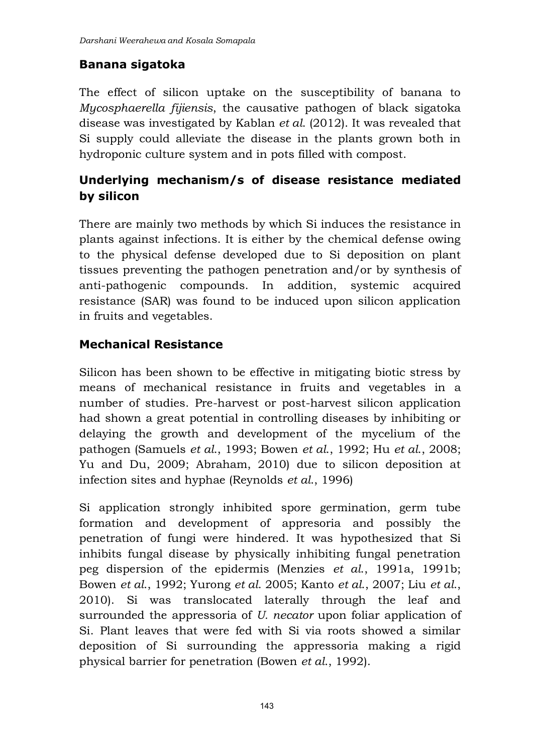## **Banana sigatoka**

The effect of silicon uptake on the susceptibility of banana to *Mycosphaerella fijiensis*, the causative pathogen of black sigatoka disease was investigated by Kablan *et al*. (2012). It was revealed that Si supply could alleviate the disease in the plants grown both in hydroponic culture system and in pots filled with compost.

# **Underlying mechanism/s of disease resistance mediated by silicon**

There are mainly two methods by which Si induces the resistance in plants against infections. It is either by the chemical defense owing to the physical defense developed due to Si deposition on plant tissues preventing the pathogen penetration and/or by synthesis of anti-pathogenic compounds. In addition, systemic acquired resistance (SAR) was found to be induced upon silicon application in fruits and vegetables.

## **Mechanical Resistance**

Silicon has been shown to be effective in mitigating biotic stress by means of mechanical resistance in fruits and vegetables in a number of studies. Pre-harvest or post-harvest silicon application had shown a great potential in controlling diseases by inhibiting or delaying the growth and development of the mycelium of the pathogen (Samuels *et al*., 1993; Bowen *et al*., 1992; Hu *et al*., 2008; Yu and Du, 2009; Abraham, 2010) due to silicon deposition at infection sites and hyphae (Reynolds *et al*., 1996)

Si application strongly inhibited spore germination, germ tube formation and development of appresoria and possibly the penetration of fungi were hindered. It was hypothesized that Si inhibits fungal disease by physically inhibiting fungal penetration peg dispersion of the epidermis (Menzies *et al*., 1991a, 1991b; Bowen *et al*., 1992; Yurong *et al*. 2005; Kanto *et al*., 2007; Liu *et al*., 2010). Si was translocated laterally through the leaf and surrounded the appressoria of *U. necator* upon foliar application of Si. Plant leaves that were fed with Si via roots showed a similar deposition of Si surrounding the appressoria making a rigid physical barrier for penetration (Bowen *et al*., 1992).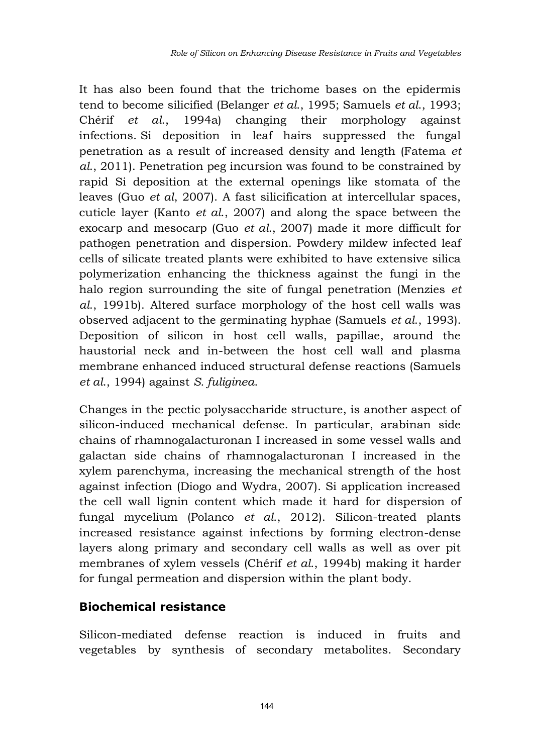It has also been found that the trichome bases on the epidermis tend to become silicified (Belanger *et al*., 1995; Samuels *et al*., 1993; Chérif *et al*., 1994a) changing their morphology against infections. Si deposition in leaf hairs suppressed the fungal penetration as a result of increased density and length (Fatema *et al*., 2011). Penetration peg incursion was found to be constrained by rapid Si deposition at the external openings like stomata of the leaves (Guo *et al*, 2007). A fast silicification at intercellular spaces, cuticle layer (Kanto *et al*., 2007) and along the space between the exocarp and mesocarp (Guo *et al*., 2007) made it more difficult for pathogen penetration and dispersion. Powdery mildew infected leaf cells of silicate treated plants were exhibited to have extensive silica polymerization enhancing the thickness against the fungi in the halo region surrounding the site of fungal penetration (Menzies *et al*., 1991b). Altered surface morphology of the host cell walls was observed adjacent to the germinating hyphae (Samuels *et al*., 1993). Deposition of silicon in host cell walls, papillae, around the haustorial neck and in-between the host cell wall and plasma membrane enhanced induced structural defense reactions (Samuels *et al*., 1994) against *S. fuliginea*.

Changes in the pectic polysaccharide structure, is another aspect of silicon-induced mechanical defense. In particular, arabinan side chains of rhamnogalacturonan I increased in some vessel walls and galactan side chains of rhamnogalacturonan I increased in the xylem parenchyma, increasing the mechanical strength of the host against infection (Diogo and Wydra, 2007). Si application increased the cell wall lignin content which made it hard for dispersion of fungal mycelium (Polanco *et al*., 2012). Silicon-treated plants increased resistance against infections by forming electron-dense layers along primary and secondary cell walls as well as over pit membranes of xylem vessels (Chérif *et al*., 1994b) making it harder for fungal permeation and dispersion within the plant body.

#### **Biochemical resistance**

Silicon-mediated defense reaction is induced in fruits and vegetables by synthesis of secondary metabolites. Secondary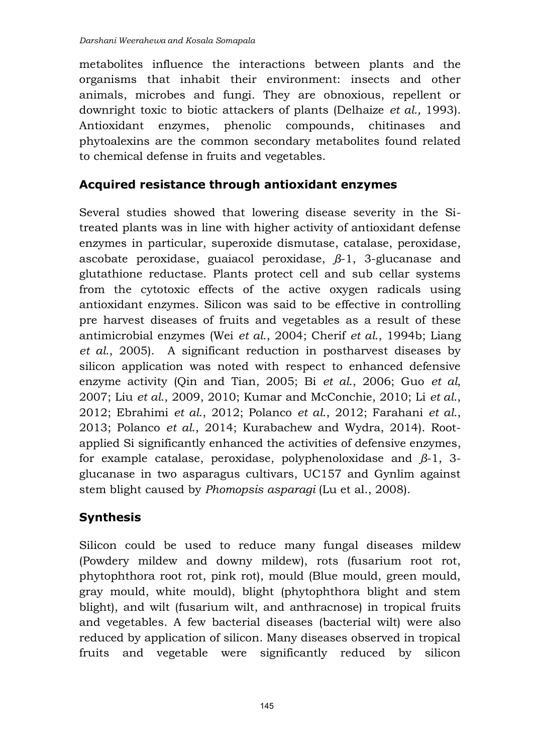metabolites influence the interactions between plants and the organisms that inhabit their environment: insects and other animals, microbes and fungi. They are obnoxious, repellent or downright toxic to biotic attackers of plants (Delhaize *et al.,* 1993). Antioxidant enzymes, phenolic compounds, chitinases and phytoalexins are the common secondary metabolites found related to chemical defense in fruits and vegetables.

## **Acquired resistance through antioxidant enzymes**

Several studies showed that lowering disease severity in the Sitreated plants was in line with higher activity of antioxidant defense enzymes in particular, superoxide dismutase, catalase, peroxidase, ascobate peroxidase, guaiacol peroxidase, *β*-1, 3-glucanase and glutathione reductase. Plants protect cell and sub cellar systems from the cytotoxic effects of the active oxygen radicals using antioxidant enzymes. Silicon was said to be effective in controlling pre harvest diseases of fruits and vegetables as a result of these antimicrobial enzymes (Wei *et al*., 2004; Cherif *et al*., 1994b; Liang *et al*., 2005). A significant reduction in postharvest diseases by silicon application was noted with respect to enhanced defensive enzyme activity (Qin and Tian, 2005; Bi *et al*., 2006; Guo *et al*, 2007; Liu *et al*., 2009, 2010; Kumar and McConchie, 2010; Li *et al*., 2012; Ebrahimi *et al*., 2012; Polanco *et al*., 2012; Farahani *et al*., 2013; Polanco *et al*., 2014; Kurabachew and Wydra, 2014). Rootapplied Si significantly enhanced the activities of defensive enzymes, for example catalase, peroxidase, polyphenoloxidase and *β*-1, 3 glucanase in two asparagus cultivars, UC157 and Gynlim against stem blight caused by *Phomopsis asparagi* (Lu et al., 2008).

## **Synthesis**

Silicon could be used to reduce many fungal diseases mildew (Powdery mildew and downy mildew), rots (fusarium root rot, phytophthora root rot, pink rot), mould (Blue mould, green mould, gray mould, white mould), blight (phytophthora blight and stem blight), and wilt (fusarium wilt, and anthracnose) in tropical fruits and vegetables. A few bacterial diseases (bacterial wilt) were also reduced by application of silicon. Many diseases observed in tropical fruits and vegetable were significantly reduced by silicon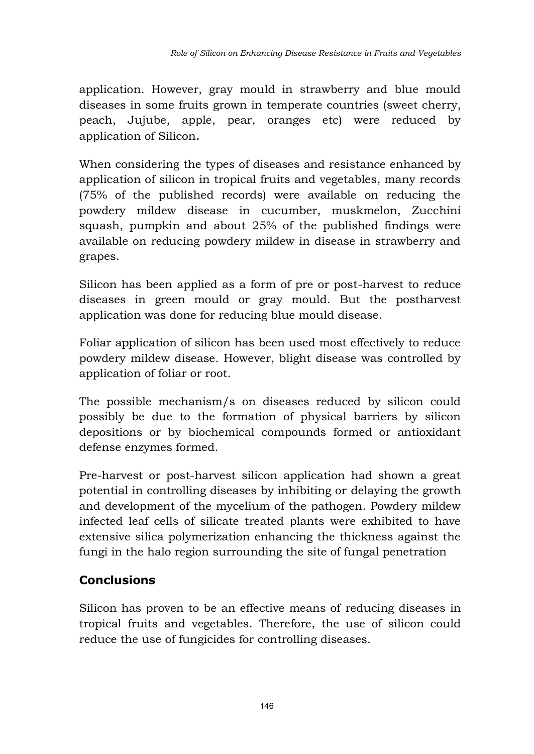application. However, gray mould in strawberry and blue mould diseases in some fruits grown in temperate countries (sweet cherry, peach, Jujube, apple, pear, oranges etc) were reduced by application of Silicon.

When considering the types of diseases and resistance enhanced by application of silicon in tropical fruits and vegetables, many records (75% of the published records) were available on reducing the powdery mildew disease in cucumber, muskmelon, Zucchini squash, pumpkin and about 25% of the published findings were available on reducing powdery mildew in disease in strawberry and grapes.

Silicon has been applied as a form of pre or post-harvest to reduce diseases in green mould or gray mould. But the postharvest application was done for reducing blue mould disease.

Foliar application of silicon has been used most effectively to reduce powdery mildew disease. However, blight disease was controlled by application of foliar or root.

The possible mechanism/s on diseases reduced by silicon could possibly be due to the formation of physical barriers by silicon depositions or by biochemical compounds formed or antioxidant defense enzymes formed.

Pre-harvest or post-harvest silicon application had shown a great potential in controlling diseases by inhibiting or delaying the growth and development of the mycelium of the pathogen. Powdery mildew infected leaf cells of silicate treated plants were exhibited to have extensive silica polymerization enhancing the thickness against the fungi in the halo region surrounding the site of fungal penetration

## **Conclusions**

Silicon has proven to be an effective means of reducing diseases in tropical fruits and vegetables. Therefore, the use of silicon could reduce the use of fungicides for controlling diseases.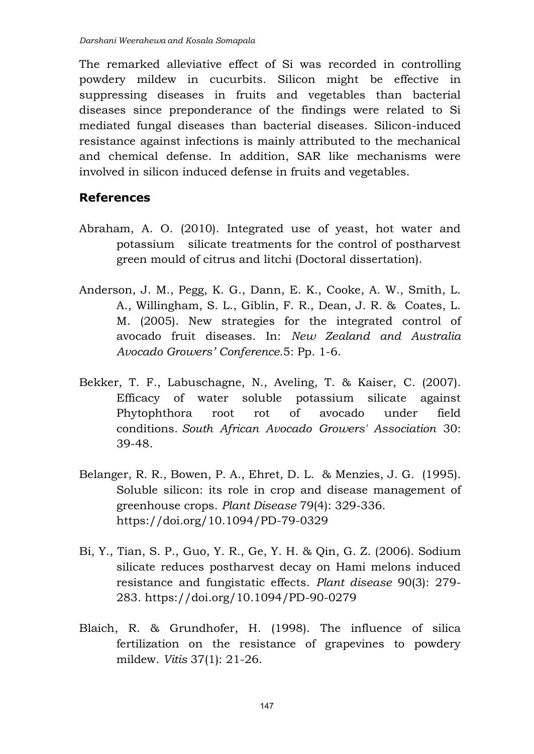The remarked alleviative effect of Si was recorded in controlling powdery mildew in cucurbits. Silicon might be effective in suppressing diseases in fruits and vegetables than bacterial diseases since preponderance of the findings were related to Si mediated fungal diseases than bacterial diseases. Silicon-induced resistance against infections is mainly attributed to the mechanical and chemical defense. In addition, SAR like mechanisms were involved in silicon induced defense in fruits and vegetables.

#### **References**

- Abraham, A. O. (2010). Integrated use of yeast, hot water and potassium silicate treatments for the control of postharvest green mould of citrus and litchi (Doctoral dissertation).
- Anderson, J. M., Pegg, K. G., Dann, E. K., Cooke, A. W., Smith, L. A., Willingham, S. L., Giblin, F. R., Dean, J. R. & Coates, L. M. (2005). New strategies for the integrated control of avocado fruit diseases. In: *New Zealand and Australia Avocado Growers' Conference.*5: Pp. 1-6.
- Bekker, T. F., Labuschagne, N., Aveling, T. & Kaiser, C. (2007). Efficacy of water soluble potassium silicate against Phytophthora root rot of avocado under field conditions. *South African Avocado Growers' Association* 30: 39-48.
- Belanger, R. R., Bowen, P. A., Ehret, D. L. & Menzies, J. G. (1995). Soluble silicon: its role in crop and disease management of greenhouse crops. *Plant Disease* 79(4): 329-336. <https://doi.org/10.1094/PD-79-0329>
- Bi, Y., Tian, S. P., Guo, Y. R., Ge, Y. H. & Qin, G. Z. (2006). Sodium silicate reduces postharvest decay on Hami melons induced resistance and fungistatic effects. *Plant disease* 90(3): 279- 283. <https://doi.org/10.1094/PD-90-0279>
- Blaich, R. & Grundhofer, H. (1998). The influence of silica fertilization on the resistance of grapevines to powdery mildew. *Vitis* 37(1): 21-26.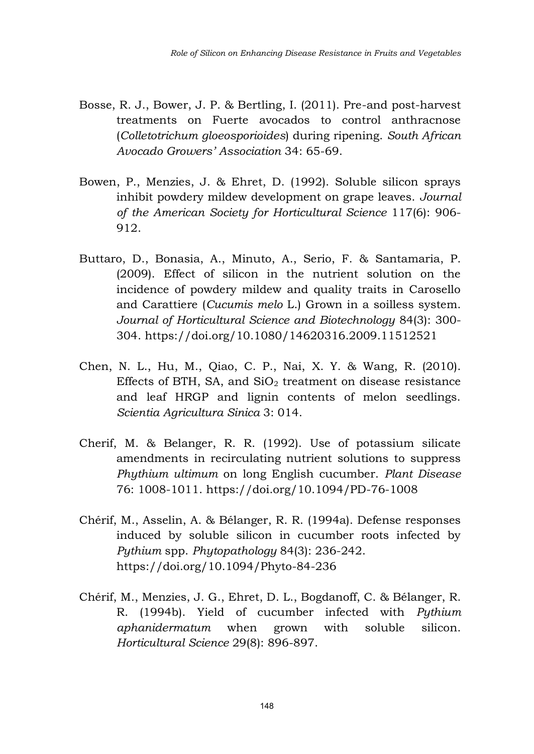- Bosse, R. J., Bower, J. P. & Bertling, I. (2011). Pre-and post-harvest treatments on Fuerte avocados to control anthracnose (*Colletotrichum gloeosporioides*) during ripening. *South African Avocado Growers' Association* 34: 65-69.
- Bowen, P., Menzies, J. & Ehret, D. (1992). Soluble silicon sprays inhibit powdery mildew development on grape leaves. *Journal of the American Society for Horticultural Science* 117(6): 906- 912.
- Buttaro, D., Bonasia, A., Minuto, A., Serio, F. & Santamaria, P. (2009). Effect of silicon in the nutrient solution on the incidence of powdery mildew and quality traits in Carosello and Carattiere (*Cucumis melo* L.) Grown in a soilless system. *Journal of Horticultural Science and Biotechnology* 84(3): 300- 304. <https://doi.org/10.1080/14620316.2009.11512521>
- Chen, N. L., Hu, M., Qiao, C. P., Nai, X. Y. & Wang, R. (2010). Effects of BTH, SA, and  $SiO<sub>2</sub>$  treatment on disease resistance and leaf HRGP and lignin contents of melon seedlings. *Scientia Agricultura Sinica* 3: 014.
- Cherif, M. & Belanger, R. R. (1992). Use of potassium silicate amendments in recirculating nutrient solutions to suppress *Phythium ultimum* on long English cucumber. *Plant Disease*  76: 1008-1011. <https://doi.org/10.1094/PD-76-1008>
- Chérif, M., Asselin, A. & Bélanger, R. R. (1994a). Defense responses induced by soluble silicon in cucumber roots infected by *Pythium* spp. *Phytopathology* 84(3): 236-242. <https://doi.org/10.1094/Phyto-84-236>
- Chérif, M., Menzies, J. G., Ehret, D. L., Bogdanoff, C. & Bélanger, R. R. (1994b). Yield of cucumber infected with *Pythium aphanidermatum* when grown with soluble silicon. *Horticultural Science* 29(8): 896-897.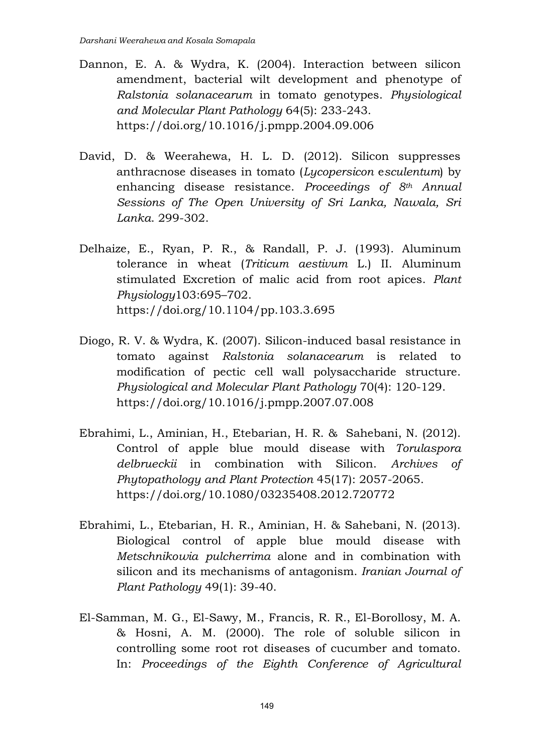- Dannon, E. A. & Wydra, K. (2004). Interaction between silicon amendment, bacterial wilt development and phenotype of *Ralstonia solanacearum* in tomato genotypes. *Physiological and Molecular Plant Pathology* 64(5): 233-243. <https://doi.org/10.1016/j.pmpp.2004.09.006>
- David, D. & Weerahewa, H. L. D. (2012). Silicon suppresses anthracnose diseases in tomato (*Lycopersicon* e*sculentum*) by enhancing disease resistance. *Proceedings of 8th Annual Sessions of The Open University of Sri Lanka, Nawala, Sri Lanka*. 299-302.
- Delhaize, E., Ryan, P. R., & Randall, P. J. (1993). Aluminum tolerance in wheat (*Triticum aestivum* L.) II. Aluminum stimulated Excretion of malic acid from root apices. *Plant Physiology*103:695–702. <https://doi.org/10.1104/pp.103.3.695>
- Diogo, R. V. & Wydra, K. (2007). Silicon-induced basal resistance in tomato against *Ralstonia solanacearum* is related to modification of pectic cell wall polysaccharide structure. *Physiological and Molecular Plant Pathology* 70(4): 120-129. <https://doi.org/10.1016/j.pmpp.2007.07.008>
- Ebrahimi, L., Aminian, H., Etebarian, H. R. & Sahebani, N. (2012). Control of apple blue mould disease with *Torulaspora delbrueckii* in combination with Silicon. *Archives of Phytopathology and Plant Protection* 45(17): 2057-2065. <https://doi.org/10.1080/03235408.2012.720772>
- Ebrahimi, L., Etebarian, H. R., Aminian, H. & Sahebani, N. (2013). Biological control of apple blue mould disease with *Metschnikowia pulcherrima* alone and in combination with silicon and its mechanisms of antagonism. *Iranian Journal of Plant Pathology* 49(1): 39-40.
- El-Samman, M. G., El-Sawy, M., Francis, R. R., El-Borollosy, M. A. & Hosni, A. M. (2000). The role of soluble silicon in controlling some root rot diseases of cucumber and tomato. In: *Proceedings of the Eighth Conference of Agricultural*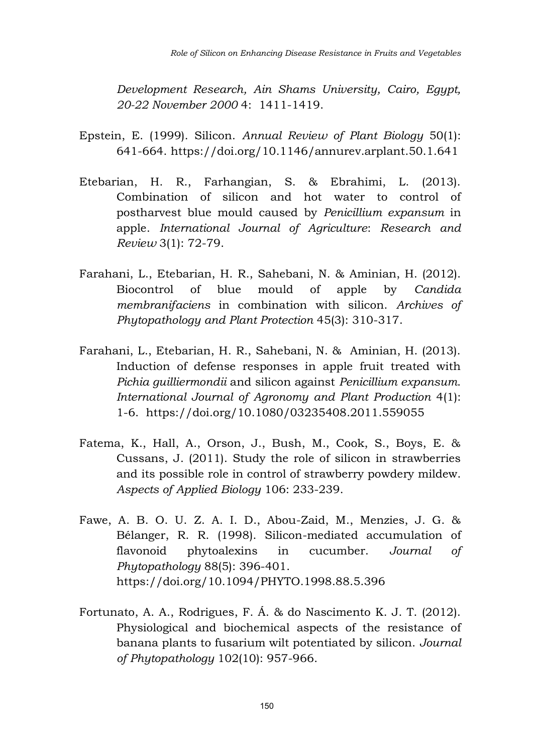*Development Research, Ain Shams University, Cairo, Egypt, 20-22 November 2000* 4: 1411-1419.

- Epstein, E. (1999). Silicon. *Annual Review of Plant Biology* 50(1): 641-664.<https://doi.org/10.1146/annurev.arplant.50.1.641>
- Etebarian, H. R., Farhangian, S. & Ebrahimi, L. (2013). Combination of silicon and hot water to control of postharvest blue mould caused by *Penicillium expansum* in apple. *International Journal of Agriculture*: *Research and Review* 3(1): 72-79.
- Farahani, L., Etebarian, H. R., Sahebani, N. & Aminian, H. (2012). Biocontrol of blue mould of apple by *Candida membranifaciens* in combination with silicon. *Archives of Phytopathology and Plant Protection* 45(3): 310-317.
- Farahani, L., Etebarian, H. R., Sahebani, N. & Aminian, H. (2013). Induction of defense responses in apple fruit treated with *Pichia guilliermondii* and silicon against *Penicillium expansum*. *International Journal of Agronomy and Plant Production* 4(1): 1-6. <https://doi.org/10.1080/03235408.2011.559055>
- Fatema, K., Hall, A., Orson, J., Bush, M., Cook, S., Boys, E. & Cussans, J. (2011). Study the role of silicon in strawberries and its possible role in control of strawberry powdery mildew. *Aspects of Applied Biology* 106: 233-239.
- Fawe, A. B. O. U. Z. A. I. D., Abou-Zaid, M., Menzies, J. G. & Bélanger, R. R. (1998). Silicon-mediated accumulation of flavonoid phytoalexins in cucumber. *Journal of Phytopathology* 88(5): 396-401. <https://doi.org/10.1094/PHYTO.1998.88.5.396>
- Fortunato, A. A., Rodrigues, F. Á. & do Nascimento K. J. T. (2012). Physiological and biochemical aspects of the resistance of banana plants to fusarium wilt potentiated by silicon. *Journal of Phytopathology* 102(10): 957-966.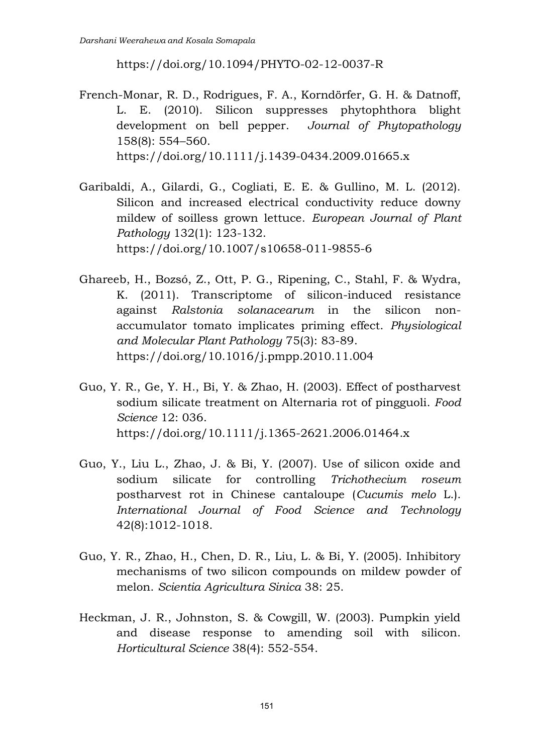<https://doi.org/10.1094/PHYTO-02-12-0037-R>

- French-Monar, R. D., Rodrigues, F. A., Korndörfer, G. H. & Datnoff, L. E. (2010). Silicon suppresses phytophthora blight development on bell pepper. *Journal of Phytopathology*  158(8): 554–560. <https://doi.org/10.1111/j.1439-0434.2009.01665.x>
- Garibaldi, A., Gilardi, G., Cogliati, E. E. & Gullino, M. L. (2012). Silicon and increased electrical conductivity reduce downy mildew of soilless grown lettuce. *European Journal of Plant Pathology* 132(1): 123-132. <https://doi.org/10.1007/s10658-011-9855-6>
- Ghareeb, H., Bozsó, Z., Ott, P. G., Ripening, C., Stahl, F. & Wydra, K. (2011). Transcriptome of silicon-induced resistance against *Ralstonia solanacearum* in the silicon nonaccumulator tomato implicates priming effect. *Physiological and Molecular Plant Pathology* 75(3): 83-89. <https://doi.org/10.1016/j.pmpp.2010.11.004>
- Guo, Y. R., Ge, Y. H., Bi, Y. & Zhao, H. (2003). Effect of postharvest sodium silicate treatment on Alternaria rot of pingguoli. *Food Science* 12: 036. <https://doi.org/10.1111/j.1365-2621.2006.01464.x>
- Guo, Y., Liu L., Zhao, J. & Bi, Y. (2007). Use of silicon oxide and sodium silicate for controlling *Trichothecium roseum* postharvest rot in Chinese cantaloupe (*Cucumis melo* L.). *International Journal of Food Science and Technology*  42(8):1012-1018.
- Guo, Y. R., Zhao, H., Chen, D. R., Liu, L. & Bi, Y. (2005). Inhibitory mechanisms of two silicon compounds on mildew powder of melon. *Scientia Agricultura Sinica* 38: 25.
- Heckman, J. R., Johnston, S. & Cowgill, W. (2003). Pumpkin yield and disease response to amending soil with silicon. *Horticultural Science* 38(4): 552-554.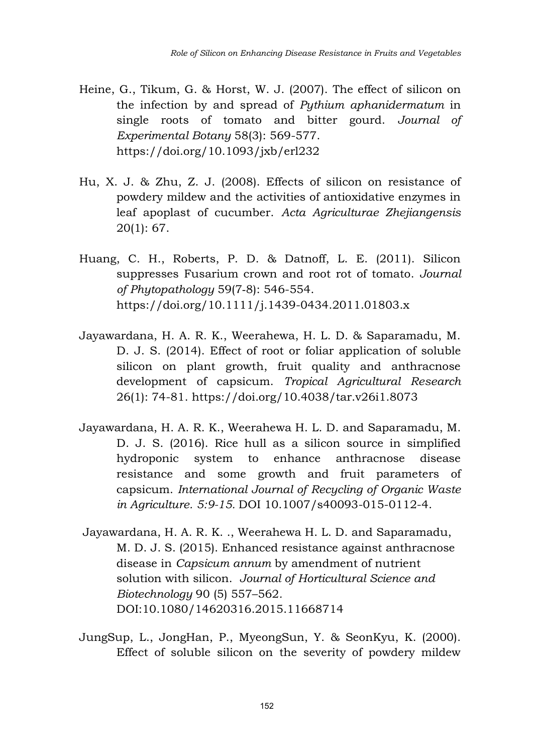- Heine, G., Tikum, G. & Horst, W. J. (2007). The effect of silicon on the infection by and spread of *Pythium aphanidermatum* in single roots of tomato and bitter gourd. *Journal of Experimental Botany* 58(3): 569-577. <https://doi.org/10.1093/jxb/erl232>
- Hu, X. J. & Zhu, Z. J. (2008). Effects of silicon on resistance of powdery mildew and the activities of antioxidative enzymes in leaf apoplast of cucumber. *Acta Agriculturae Zhejiangensis*  20(1): 67.
- Huang, C. H., Roberts, P. D. & Datnoff, L. E. (2011). Silicon suppresses Fusarium crown and root rot of tomato. *Journal of Phytopathology* 59(7‐8): 546-554. <https://doi.org/10.1111/j.1439-0434.2011.01803.x>
- Jayawardana, H. A. R. K., Weerahewa, H. L. D. & Saparamadu, M. D. J. S. (2014). Effect of root or foliar application of soluble silicon on plant growth, fruit quality and anthracnose development of capsicum. *Tropical Agricultural Research* 26(1): 74-81. <https://doi.org/10.4038/tar.v26i1.8073>
- Jayawardana, H. A. R. K., Weerahewa H. L. D. and Saparamadu, M. D. J. S. (2016). Rice hull as a silicon source in simplified hydroponic system to enhance anthracnose disease resistance and some growth and fruit parameters of capsicum. *International Journal of Recycling of Organic Waste in Agriculture. 5:9-15.* DOI 10.1007/s40093-015-0112-4.
- Jayawardana, H. A. R. K. ., Weerahewa H. L. D. and Saparamadu, M. D. J. S. (2015). Enhanced resistance against anthracnose disease in *Capsicum annum* by amendment of nutrient solution with silicon. *Journal of Horticultural Science and Biotechnology* 90 (5) 557–562*.*  DOI:10.1080/14620316.2015.11668714
- JungSup, L., JongHan, P., MyeongSun, Y. & SeonKyu, K. (2000). Effect of soluble silicon on the severity of powdery mildew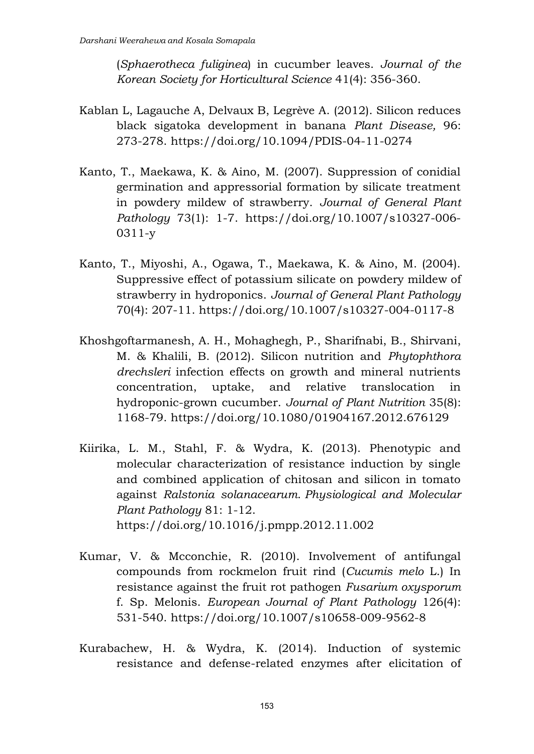(*Sphaerotheca fuliginea*) in cucumber leaves. *Journal of the Korean Society for Horticultural Science* 41(4): 356-360.

- Kablan L, Lagauche A, Delvaux B, Legrève A. (2012). Silicon reduces black sigatoka development in banana *Plant Disease,* 96: 273-278.<https://doi.org/10.1094/PDIS-04-11-0274>
- Kanto, T., Maekawa, K. & Aino, M. (2007). Suppression of conidial germination and appressorial formation by silicate treatment in powdery mildew of strawberry. *Journal of General Plant Pathology* 73(1): 1-7. [https://doi.org/10.1007/s10327-006-](https://doi.org/10.1007/s10327-006-0311-y) [0311-y](https://doi.org/10.1007/s10327-006-0311-y)
- Kanto, T., Miyoshi, A., Ogawa, T., Maekawa, K. & Aino, M. (2004). Suppressive effect of potassium silicate on powdery mildew of strawberry in hydroponics. *Journal of General Plant Pathology*  70(4): 207-11.<https://doi.org/10.1007/s10327-004-0117-8>
- Khoshgoftarmanesh, A. H., Mohaghegh, P., Sharifnabi, B., Shirvani, M. & Khalili, B. (2012). Silicon nutrition and *Phytophthora drechsleri* infection effects on growth and mineral nutrients concentration, uptake, and relative translocation in hydroponic-grown cucumber. *Journal of Plant Nutrition* 35(8): 1168-79.<https://doi.org/10.1080/01904167.2012.676129>
- Kiirika, L. M., Stahl, F. & Wydra, K. (2013). Phenotypic and molecular characterization of resistance induction by single and combined application of chitosan and silicon in tomato against *Ralstonia solanacearum*. *Physiological and Molecular Plant Pathology* 81: 1-12. <https://doi.org/10.1016/j.pmpp.2012.11.002>
- Kumar, V. & Mcconchie, R. (2010). Involvement of antifungal compounds from rockmelon fruit rind (*Cucumis melo* L.) In resistance against the fruit rot pathogen *Fusarium oxysporum* f. Sp. Melonis. *European Journal of Plant Pathology* 126(4): 531-540.<https://doi.org/10.1007/s10658-009-9562-8>
- Kurabachew, H. & Wydra, K. (2014). Induction of systemic resistance and defense-related enzymes after elicitation of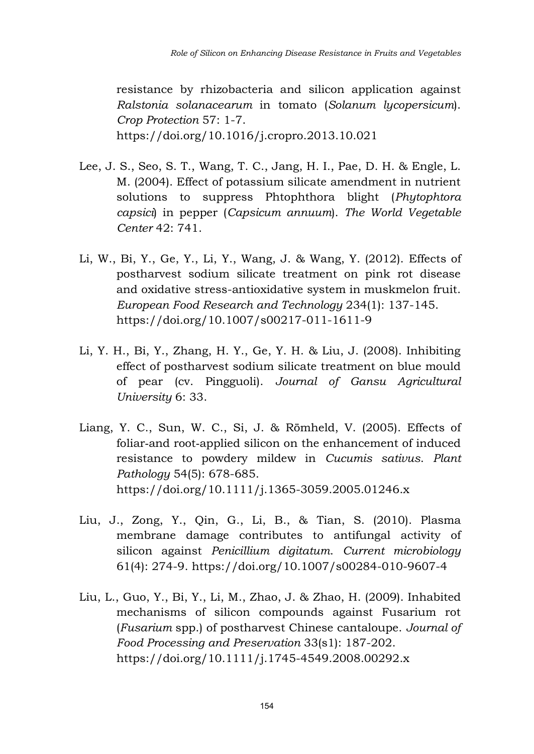resistance by rhizobacteria and silicon application against *Ralstonia solanacearum* in tomato (*Solanum lycopersicum*). *Crop Protection* 57: 1-7. <https://doi.org/10.1016/j.cropro.2013.10.021>

- Lee, J. S., Seo, S. T., Wang, T. C., Jang, H. I., Рае, D. H. & Engle, L. M. (2004). Effect of potassium silicate amendment in nutrient solutions to suppress Phtophthora blight (*Phytophtora capsici*) in pepper (*Capsicum annuum*). *The World Vegetable Center* 42: 741.
- Li, W., Bi, Y., Ge, Y., Li, Y., Wang, J. & Wang, Y. (2012). Effects of postharvest sodium silicate treatment on pink rot disease and oxidative stress-antioxidative system in muskmelon fruit. *European Food Research and Technology* 234(1): 137-145. <https://doi.org/10.1007/s00217-011-1611-9>
- Li, Y. H., Bi, Y., Zhang, H. Y., Ge, Y. H. & Liu, J. (2008). Inhibiting effect of postharvest sodium silicate treatment on blue mould of pear (cv. Pingguoli). *Journal of Gansu Agricultural University* 6: 33.
- Liang, Y. C., Sun, W. C., Si, J. & Römheld, V. (2005). Effects of foliar-and root-applied silicon on the enhancement of induced resistance to powdery mildew in *Cucumis sativus*. *Plant Pathology* 54(5): 678-685. <https://doi.org/10.1111/j.1365-3059.2005.01246.x>
- Liu, J., Zong, Y., Qin, G., Li, B., & Tian, S. (2010). Plasma membrane damage contributes to antifungal activity of silicon against *Penicillium digitatum*. *Current microbiology*  61(4): 274-9.<https://doi.org/10.1007/s00284-010-9607-4>
- Liu, L., Guo, Y., Bi, Y., Li, M., Zhao, J. & Zhao, H. (2009). Inhabited mechanisms of silicon compounds against Fusarium rot (*Fusarium* spp.) of postharvest Chinese cantaloupe. *Journal of Food Processing and Preservation* 33(s1): 187-202. <https://doi.org/10.1111/j.1745-4549.2008.00292.x>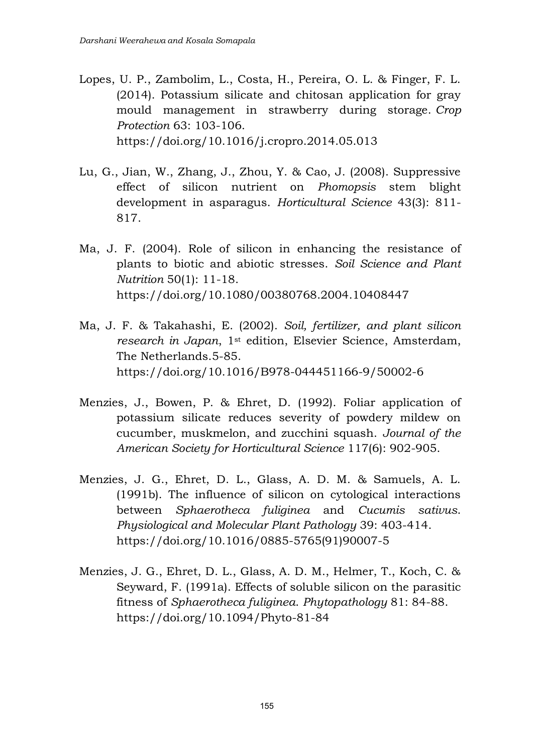- Lopes, U. P., Zambolim, L., Costa, H., Pereira, O. L. & Finger, F. L. (2014). Potassium silicate and chitosan application for gray mould management in strawberry during storage. *Crop Protection* 63: 103-106. <https://doi.org/10.1016/j.cropro.2014.05.013>
- Lu, G., Jian, W., Zhang, J., Zhou, Y. & Cao, J. (2008). Suppressive effect of silicon nutrient on *Phomopsis* stem blight development in asparagus. *Horticultural Science* 43(3): 811- 817.
- Ma, J. F. (2004). Role of silicon in enhancing the resistance of plants to biotic and abiotic stresses. *Soil Science and Plant Nutrition* 50(1): 11-18. <https://doi.org/10.1080/00380768.2004.10408447>
- Ma, J. F. & Takahashi, E. (2002). *Soil, fertilizer, and plant silicon research in Japan*, 1st edition, Elsevier Science, Amsterdam, The Netherlands.5-85. <https://doi.org/10.1016/B978-044451166-9/50002-6>
- Menzies, J., Bowen, P. & Ehret, D. (1992). Foliar application of potassium silicate reduces severity of powdery mildew on cucumber, muskmelon, and zucchini squash. *Journal of the American Society for Horticultural Science* 117(6): 902-905.
- Menzies, J. G., Ehret, D. L., Glass, A. D. M. & Samuels, A. L. (1991b). The influence of silicon on cytological interactions between *Sphaerotheca fuliginea* and *Cucumis sativus*. *Physiological and Molecular Plant Pathology* 39: 403-414. [https://doi.org/10.1016/0885-5765\(91\)90007-5](https://doi.org/10.1016/0885-5765(91)90007-5)
- Menzies, J. G., Ehret, D. L., Glass, A. D. M., Helmer, T., Koch, C. & Seyward, F. (1991a). Effects of soluble silicon on the parasitic fitness of *Sphaerotheca fuliginea*. *Phytopathology* 81: 84-88. <https://doi.org/10.1094/Phyto-81-84>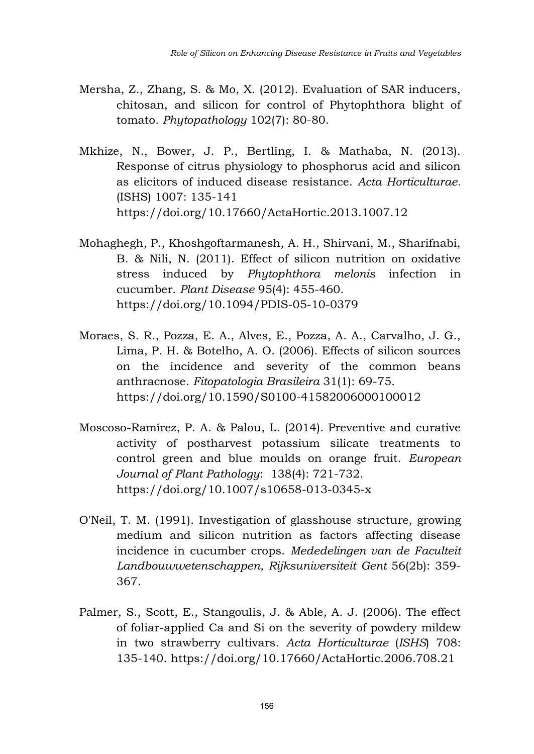- Mersha, Z., Zhang, S. & Mo, X. (2012). Evaluation of SAR inducers, chitosan, and silicon for control of Phytophthora blight of tomato. *Phytopathology* 102(7): 80-80.
- Mkhize, N., Bower, J. P., Bertling, I. & Mathaba, N. (2013). Response of citrus physiology to phosphorus acid and silicon as elicitors of induced disease resistance. *Acta Horticulturae.*  (ISHS) 1007: 135-141 <https://doi.org/10.17660/ActaHortic.2013.1007.12>
- Mohaghegh, P., Khoshgoftarmanesh, A. H., Shirvani, M., Sharifnabi, B. & Nili, N. (2011). Effect of silicon nutrition on oxidative stress induced by *Phytophthora melonis* infection in cucumber. *Plant Disease* 95(4): 455-460. <https://doi.org/10.1094/PDIS-05-10-0379>
- Moraes, S. R., Pozza, E. A., Alves, E., Pozza, A. A., Carvalho, J. G., Lima, P. H. & Botelho, A. O. (2006). Effects of silicon sources on the incidence and severity of the common beans anthracnose. *Fitopatologia Brasileira* 31(1): 69-75. <https://doi.org/10.1590/S0100-41582006000100012>
- Moscoso-Ramírez, P. A. & Palou, L. (2014). Preventive and curative activity of postharvest potassium silicate treatments to control green and blue moulds on orange fruit. *European Journal of Plant Pathology*: 138(4): 721-732. <https://doi.org/10.1007/s10658-013-0345-x>
- O'Neil, T. M. (1991). Investigation of glasshouse structure, growing medium and silicon nutrition as factors affecting disease incidence in cucumber crops. *Mededelingen van de Faculteit Landbouwwetenschappen, Rijksuniversiteit Gent* 56(2b): 359- 367.
- Palmer, S., Scott, E., Stangoulis, J. & Able, A. J. (2006). The effect of foliar-applied Ca and Si on the severity of powdery mildew in two strawberry cultivars. *Acta Horticulturae* (*ISHS*) 708: 135-140.<https://doi.org/10.17660/ActaHortic.2006.708.21>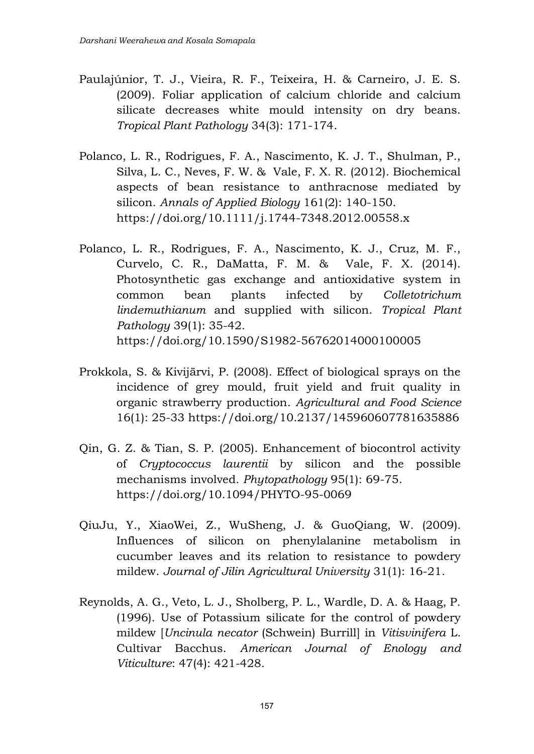- Paulajúnior, T. J., Vieira, R. F., Teixeira, H. & Carneiro, J. E. S. (2009). Foliar application of calcium chloride and calcium silicate decreases white mould intensity on dry beans. *Tropical Plant Pathology* 34(3): 171-174.
- Polanco, L. R., Rodrigues, F. A., Nascimento, K. J. T., Shulman, P., Silva, L. C., Neves, F. W. & Vale, F. X. R. (2012). Biochemical aspects of bean resistance to anthracnose mediated by silicon. *Annals of Applied Biology* 161(2): 140-150. <https://doi.org/10.1111/j.1744-7348.2012.00558.x>
- Polanco, L. R., Rodrigues, F. A., Nascimento, K. J., Cruz, M. F., Curvelo, C. R., DaMatta, F. M. & Vale, F. X. (2014). Photosynthetic gas exchange and antioxidative system in common bean plants infected by *Colletotrichum lindemuthianum* and supplied with silicon. *Tropical Plant Pathology* 39(1): 35-42. <https://doi.org/10.1590/S1982-56762014000100005>
- Prokkola, S. & Kivijärvi, P. (2008). Effect of biological sprays on the incidence of grey mould, fruit yield and fruit quality in organic strawberry production. *Agricultural and Food Science*  16(1): 25-33<https://doi.org/10.2137/145960607781635886>
- Qin, G. Z. & Tian, S. P. (2005). Enhancement of biocontrol activity of *Cryptococcus laurentii* by silicon and the possible mechanisms involved. *Phytopathology* 95(1): 69-75. <https://doi.org/10.1094/PHYTO-95-0069>
- QiuJu, Y., XiaoWei, Z., WuSheng, J. & GuoQiang, W. (2009). Influences of silicon on phenylalanine metabolism in cucumber leaves and its relation to resistance to powdery mildew. *Journal of Jilin Agricultural University* 31(1): 16-21.
- Reynolds, A. G., Veto, L. J., Sholberg, P. L., Wardle, D. A. & Haag, P. (1996). Use of Potassium silicate for the control of powdery mildew [*Uncinula necator* (Schwein) Burrill] in *Vitisvinifera* L. Cultivar Bacchus. *American Journal of Enology and Viticulture*: 47(4): 421-428.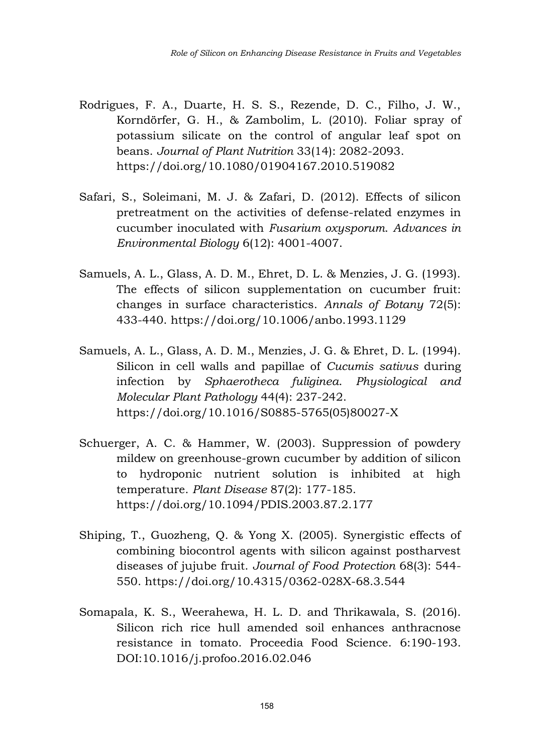- Rodrigues, F. A., Duarte, H. S. S., Rezende, D. C., Filho, J. W., Korndörfer, G. H., & Zambolim, L. (2010). Foliar spray of potassium silicate on the control of angular leaf spot on beans. *Journal of Plant Nutrition* 33(14): 2082-2093. <https://doi.org/10.1080/01904167.2010.519082>
- Safari, S., Soleimani, M. J. & Zafari, D. (2012). Effects of silicon pretreatment on the activities of defense-related enzymes in cucumber inoculated with *Fusarium oxysporum*. *Advances in Environmental Biology* 6(12): 4001-4007.
- Samuels, A. L., Glass, A. D. M., Ehret, D. L. & Menzies, J. G. (1993). The effects of silicon supplementation on cucumber fruit: changes in surface characteristics. *Annals of Botany* 72(5): 433-440.<https://doi.org/10.1006/anbo.1993.1129>
- Samuels, A. L., Glass, A. D. M., Menzies, J. G. & Ehret, D. L. (1994). Silicon in cell walls and papillae of *Cucumis sativus* during infection by *Sphaerotheca fuliginea*. *Physiological and Molecular Plant Pathology* 44(4): 237-242. [https://doi.org/10.1016/S0885-5765\(05\)80027-X](https://doi.org/10.1016/S0885-5765(05)80027-X)
- Schuerger, A. C. & Hammer, W. (2003). Suppression of powdery mildew on greenhouse-grown cucumber by addition of silicon to hydroponic nutrient solution is inhibited at high temperature. *Plant Disease* 87(2): 177-185. <https://doi.org/10.1094/PDIS.2003.87.2.177>
- Shiping, T., Guozheng, Q. & Yong X. (2005). Synergistic effects of combining biocontrol agents with silicon against postharvest diseases of jujube fruit. *Journal of Food Protection* 68(3): 544- 550.<https://doi.org/10.4315/0362-028X-68.3.544>
- Somapala, K. S., Weerahewa, H. L. D. and Thrikawala, S. (2016). Silicon rich rice hull amended soil enhances anthracnose resistance in tomato. Proceedia Food Science. 6:190-193. DOI:10.1016/j.profoo.2016.02.046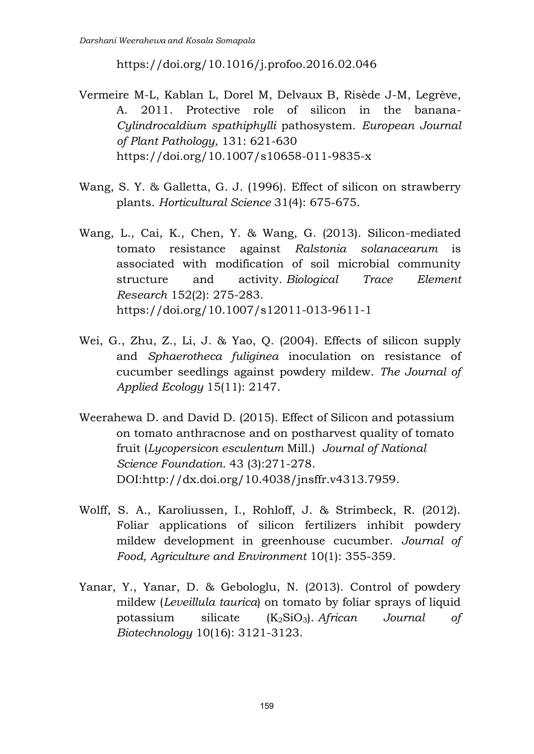<https://doi.org/10.1016/j.profoo.2016.02.046>

- Vermeire M-L, Kablan L, Dorel M, Delvaux B, Risède J-M, Legrève, A. 2011. Protective role of silicon in the banana-*Cylindrocaldium spathiphylli* pathosystem. *European Journal of Plant Pathology,* 131: 621-630 <https://doi.org/10.1007/s10658-011-9835-x>
- Wang, S. Y. & Galletta, G. J. (1996). Effect of silicon on strawberry plants. *Horticultural Science* 31(4): 675-675.
- Wang, L., Cai, K., Chen, Y. & Wang, G. (2013). Silicon-mediated tomato resistance against *Ralstonia solanacearum* is associated with modification of soil microbial community structure and activity. *Biological Trace Element Research* 152(2): 275-283. <https://doi.org/10.1007/s12011-013-9611-1>
- Wei, G., Zhu, Z., Li, J. & Yao, Q. (2004). Effects of silicon supply and *Sphaerotheca fuliginea* inoculation on resistance of cucumber seedlings against powdery mildew. *The Journal of Applied Ecology* 15(11): 2147.
- Weerahewa D. and David D. (2015). Effect of Silicon and potassium on tomato anthracnose and on postharvest quality of tomato fruit (*Lycopersicon esculentum* Mill.) *Journal of National Science Foundation*. 43 (3):271-278. DOI:http://dx.doi.org/10.4038/jnsffr.v4313.7959.
- Wolff, S. A., Karoliussen, I., Rohloff, J. & Strimbeck, R. (2012). Foliar applications of silicon fertilizers inhibit powdery mildew development in greenhouse cucumber. *Journal of Food, Agriculture and Environment* 10(1): 355-359.
- Yanar, Y., Yanar, D. & Gebologlu, N. (2013). Control of powdery mildew (*Leveillula taurica*) on tomato by foliar sprays of liquid potassium silicate (K2SiO3). *African Journal of Biotechnology* 10(16): 3121-3123.